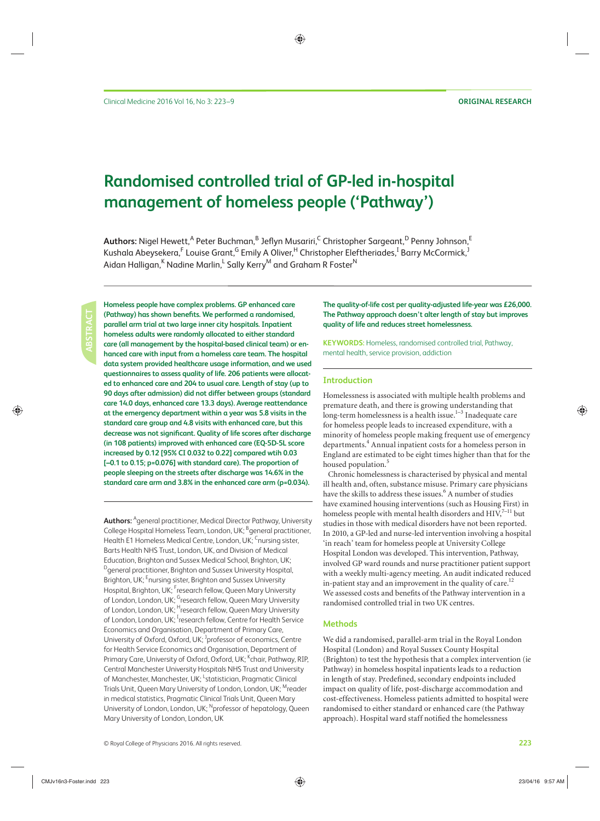# **Randomised controlled trial of GP-led in-hospital management of homeless people ('Pathway')**

 $\bm{\mathsf{Aut}$ hors: Nigel Hewett, $^\mathsf{A}$  Peter Buchman, $^\mathsf{B}$  Jeflyn Musariri, $^\mathsf{C}$  Christopher Sargeant, $^\mathsf{D}$  Penny Johnson, $^\mathsf{E}$ Kushala Abeysekera,<sup>F</sup> Louise Grant,<sup>G</sup> Emily A Oliver,<sup>H</sup> Christopher Eleftheriades,<sup>I</sup> Barry McCormick,<sup>J</sup> Aidan Halligan,<sup>K</sup> Nadine Marlin,<sup>L</sup> Sally Kerry<sup>M</sup> and Graham R Foster<sup>N</sup>

**ABSTRACT**

 **Homeless people have complex problems. GP enhanced care**  (Pathway) has shown benefits. We performed a randomised,  **parallel arm trial at two large inner city hospitals. Inpatient homeless adults were randomly allocated to either standard care (all management by the hospital-based clinical team) or enhanced care with input from a homeless care team. The hospital data system provided healthcare usage information, and we used questionnaires to assess quality of life. 206 patients were allocated to enhanced care and 204 to usual care. Length of stay (up to 90 days after admission) did not differ between groups (standard care 14.0 days, enhanced care 13.3 days). Average reattendance at the emergency department within a year was 5.8 visits in the standard care group and 4.8 visits with enhanced care, but this**  decrease was not significant. Quality of life scores after discharge **(in 108 patients) improved with enhanced care (EQ-5D-5L score increased by 0.12 [95% CI 0.032 to 0.22] compared wtih 0.03 [–0.1 to 0.15; p=0.076] with standard care). The proportion of people sleeping on the streets after discharge was 14.6% in the standard care arm and 3.8% in the enhanced care arm (p=0.034).** 

 **Authors:** A general practitioner, Medical Director Pathway, University College Hospital Homeless Team, London, UK; <sup>B</sup>general practitioner, Health E1 Homeless Medical Centre, London, UK; <sup>C</sup>nursing sister, Barts Health NHS Trust, London, UK, and Division of Medical Education, Brighton and Sussex Medical School, Brighton, UK; D general practitioner, Brighton and Sussex University Hospital, Brighton, UK; <sup>E</sup>nursing sister, Brighton and Sussex University Hospital, Brighton, UK; <sup>F</sup>research fellow, Queen Mary University of London, London, UK; <sup>G</sup>research fellow, Queen Mary University of London, London, UK; <sup>H</sup>research fellow, Queen Mary University of London, London, UK; <sup>I</sup>research fellow, Centre for Health Service Economics and Organisation, Department of Primary Care, University of Oxford, Oxford, UK; <sup>J</sup>professor of economics, Centre for Health Service Economics and Organisation, Department of Primary Care, University of Oxford, Oxford, UK; <sup>K</sup>chair, Pathway, RIP, Central Manchester University Hospitals NHS Trust and University of Manchester, Manchester, UK; <sup>L</sup>statistician, Pragmatic Clinical Trials Unit, Queen Mary University of London, London, UK; <sup>M</sup>reader in medical statistics, Pragmatic Clinical Trials Unit, Queen Mary University of London, London, UK; <sup>N</sup> professor of hepatology, Queen Mary University of London, London, UK

**The quality-of-life cost per quality-adjusted life-year was £26,000. The Pathway approach doesn't alter length of stay but improves quality of life and reduces street homelessness.** 

**KEYWORDS:** Homeless, randomised controlled trial, Pathway, mental health, service provision, addiction

### **Introduction**

 Homelessness is associated with multiple health problems and premature death, and there is growing understanding that long-term homelessness is a health issue. $1-3$  Inadequate care for homeless people leads to increased expenditure, with a minority of homeless people making frequent use of emergency departments.<sup>4</sup> Annual inpatient costs for a homeless person in England are estimated to be eight times higher than that for the housed population.<sup>5</sup>

 Chronic homelessness is characterised by physical and mental ill health and, often, substance misuse. Primary care physicians have the skills to address these issues.<sup>6</sup> A number of studies have examined housing interventions (such as Housing First) in homeless people with mental health disorders and  $\text{HIV}^{7-11}_2$  but studies in those with medical disorders have not been reported. In 2010, a GP-led and nurse-led intervention involving a hospital 'in reach' team for homeless people at University College Hospital London was developed. This intervention, Pathway, involved GP ward rounds and nurse practitioner patient support with a weekly multi-agency meeting. An audit indicated reduced in-patient stay and an improvement in the quality of care.<sup>12</sup> We assessed costs and benefits of the Pathway intervention in a randomised controlled trial in two UK centres.

#### **Methods**

 We did a randomised, parallel-arm trial in the Royal London Hospital (London) and Royal Sussex County Hospital (Brighton) to test the hypothesis that a complex intervention (ie Pathway) in homeless hospital inpatients leads to a reduction in length of stay. Predefined, secondary endpoints included impact on quality of life, post-discharge accommodation and cost-effectiveness. Homeless patients admitted to hospital were randomised to either standard or enhanced care (the Pathway approach). Hospital ward staff notified the homelessness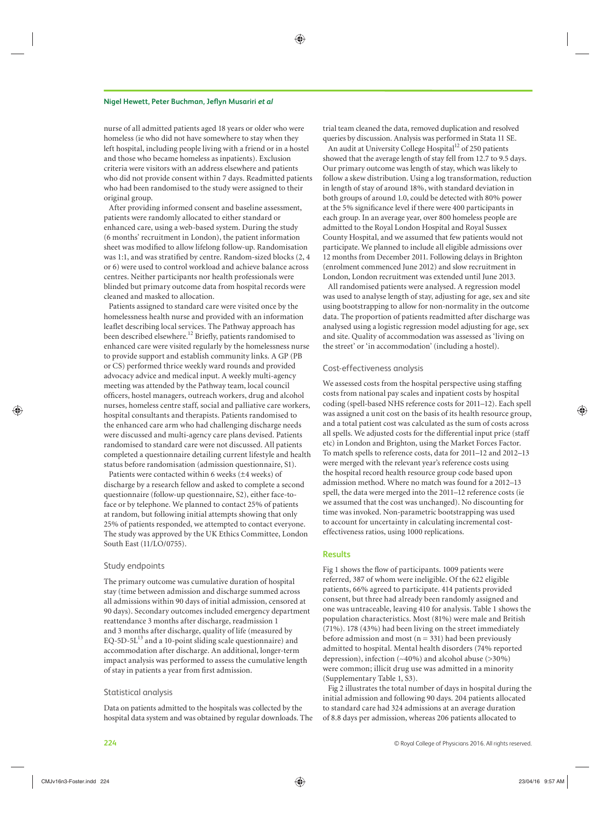#### **Nigel Hewett, Peter Buchman, Jeflyn Musariri** *et al*

nurse of all admitted patients aged 18 years or older who were homeless (ie who did not have somewhere to stay when they left hospital, including people living with a friend or in a hostel and those who became homeless as inpatients). Exclusion criteria were visitors with an address elsewhere and patients who did not provide consent within 7 days. Readmitted patients who had been randomised to the study were assigned to their original group.

 After providing informed consent and baseline assessment, patients were randomly allocated to either standard or enhanced care, using a web-based system. During the study (6 months' recruitment in London), the patient information sheet was modified to allow lifelong follow-up. Randomisation was 1:1, and was stratified by centre. Random-sized blocks (2, 4 or 6) were used to control workload and achieve balance across centres. Neither participants nor health professionals were blinded but primary outcome data from hospital records were cleaned and masked to allocation.

 Patients assigned to standard care were visited once by the homelessness health nurse and provided with an information leaflet describing local services. The Pathway approach has been described elsewhere.<sup>12</sup> Briefly, patients randomised to enhanced care were visited regularly by the homelessness nurse to provide support and establish community links. A GP (PB or CS) performed thrice weekly ward rounds and provided advocacy advice and medical input. A weekly multi-agency meeting was attended by the Pathway team, local council officers, hostel managers, outreach workers, drug and alcohol nurses, homeless centre staff, social and palliative care workers, hospital consultants and therapists. Patients randomised to the enhanced care arm who had challenging discharge needs were discussed and multi-agency care plans devised. Patients randomised to standard care were not discussed. All patients completed a questionnaire detailing current lifestyle and health status before randomisation (admission questionnaire, S1).

 Patients were contacted within 6 weeks (±4 weeks) of discharge by a research fellow and asked to complete a second questionnaire (follow-up questionnaire, S2), either face-toface or by telephone. We planned to contact 25% of patients at random, but following initial attempts showing that only 25% of patients responded, we attempted to contact everyone. The study was approved by the UK Ethics Committee, London South East (11/LO/0755).

#### Study endpoints

 The primary outcome was cumulative duration of hospital stay (time between admission and discharge summed across all admissions within 90 days of initial admission, censored at 90 days). Secondary outcomes included emergency department reattendance 3 months after discharge, readmission 1 and 3 months after discharge, quality of life (measured by EQ-5D-5L $<sup>13</sup>$  and a 10-point sliding scale questionnaire) and</sup> accommodation after discharge. An additional, longer-term impact analysis was performed to assess the cumulative length of stay in patients a year from first admission.

#### Statistical analysis

 Data on patients admitted to the hospitals was collected by the hospital data system and was obtained by regular downloads. The trial team cleaned the data, removed duplication and resolved queries by discussion. Analysis was performed in Stata 11 SE.

An audit at University College Hospital<sup>12</sup> of 250 patients showed that the average length of stay fell from 12.7 to 9.5 days. Our primary outcome was length of stay, which was likely to follow a skew distribution. Using a log transformation, reduction in length of stay of around 18%, with standard deviation in both groups of around 1.0, could be detected with 80% power at the 5% significance level if there were 400 participants in each group. In an average year, over 800 homeless people are admitted to the Royal London Hospital and Royal Sussex County Hospital, and we assumed that few patients would not participate. We planned to include all eligible admissions over 12 months from December 2011. Following delays in Brighton (enrolment commenced June 2012) and slow recruitment in London, London recruitment was extended until June 2013.

 All randomised patients were analysed. A regression model was used to analyse length of stay, adjusting for age, sex and site using bootstrapping to allow for non-normality in the outcome data. The proportion of patients readmitted after discharge was analysed using a logistic regression model adjusting for age, sex and site. Quality of accommodation was assessed as 'living on the street' or 'in accommodation' (including a hostel).

### Cost-effectiveness analysis

 We assessed costs from the hospital perspective using staffing costs from national pay scales and inpatient costs by hospital coding (spell-based NHS reference costs for 2011–12). Each spell was assigned a unit cost on the basis of its health resource group, and a total patient cost was calculated as the sum of costs across all spells. We adjusted costs for the differential input price (staff etc) in London and Brighton, using the Market Forces Factor. To match spells to reference costs, data for 2011–12 and 2012–13 were merged with the relevant year's reference costs using the hospital record health resource group code based upon admission method. Where no match was found for a 2012–13 spell, the data were merged into the 2011–12 reference costs (ie we assumed that the cost was unchanged). No discounting for time was invoked. Non-parametric bootstrapping was used to account for uncertainty in calculating incremental costeffectiveness ratios, using 1000 replications.

# **Results**

 Fig 1 shows the flow of participants. 1009 patients were referred, 387 of whom were ineligible. Of the 622 eligible patients, 66% agreed to participate. 414 patients provided consent, but three had already been randomly assigned and one was untraceable, leaving 410 for analysis. Table 1 shows the population characteristics. Most (81%) were male and British (71%). 178 (43%) had been living on the street immediately before admission and most ( $n = 331$ ) had been previously admitted to hospital. Mental health disorders (74% reported depression), infection (∼40%) and alcohol abuse (>30%) were common; illicit drug use was admitted in a minority (Supplementary Table 1, S3).

Fig 2 illustrates the total number of days in hospital during the initial admission and following 90 days. 204 patients allocated to standard care had 324 admissions at an average duration of 8.8 days per admission, whereas 206 patients allocated to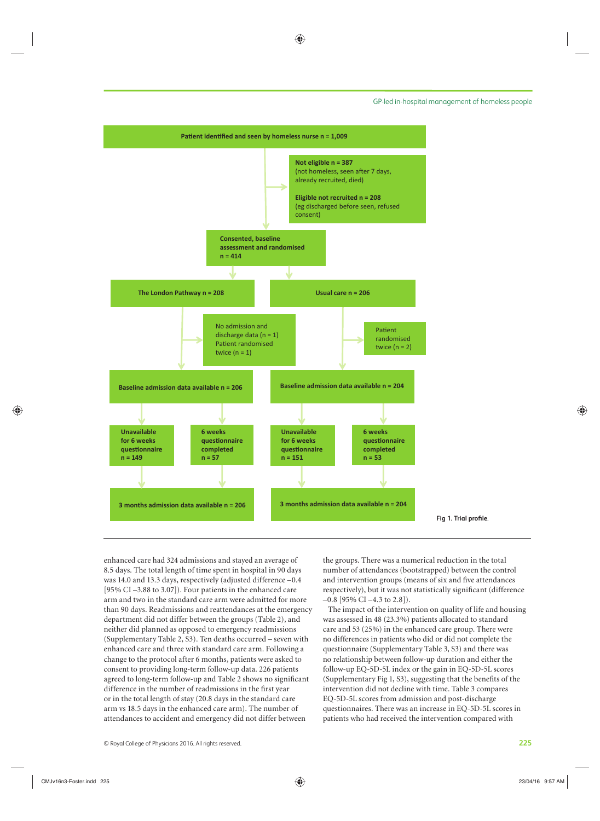#### GP-led in-hospital management of homeless people



enhanced care had 324 admissions and stayed an average of 8.5 days. The total length of time spent in hospital in 90 days was 14.0 and 13.3 days, respectively (adjusted difference –0.4 [95% CI –3.88 to 3.07]). Four patients in the enhanced care arm and two in the standard care arm were admitted for more than 90 days. Readmissions and reattendances at the emergency department did not differ between the groups (Table 2), and neither did planned as opposed to emergency readmissions (Supplementary Table 2, S3). Ten deaths occurred – seven with enhanced care and three with standard care arm. Following a change to the protocol after 6 months, patients were asked to consent to providing long-term follow-up data. 226 patients agreed to long-term follow-up and Table 2 shows no significant difference in the number of readmissions in the first year or in the total length of stay (20.8 days in the standard care arm vs 18.5 days in the enhanced care arm). The number of attendances to accident and emergency did not differ between

the groups. There was a numerical reduction in the total number of attendances (bootstrapped) between the control and intervention groups (means of six and five attendances respectively), but it was not statistically significant (difference  $-0.8$  [95% CI  $-4.3$  to 2.8]).

 The impact of the intervention on quality of life and housing was assessed in 48 (23.3%) patients allocated to standard care and 53 (25%) in the enhanced care group. There were no differences in patients who did or did not complete the questionnaire (Supplementary Table 3, S3) and there was no relationship between follow-up duration and either the follow-up EQ-5D-5L index or the gain in EQ-5D-5L scores (Supplementary Fig 1,  $\overline{S}$ ), suggesting that the benefits of the intervention did not decline with time. Table 3 compares EQ-5D-5L scores from admission and post-discharge questionnaires. There was an increase in EQ-5D-5L scores in patients who had received the intervention compared with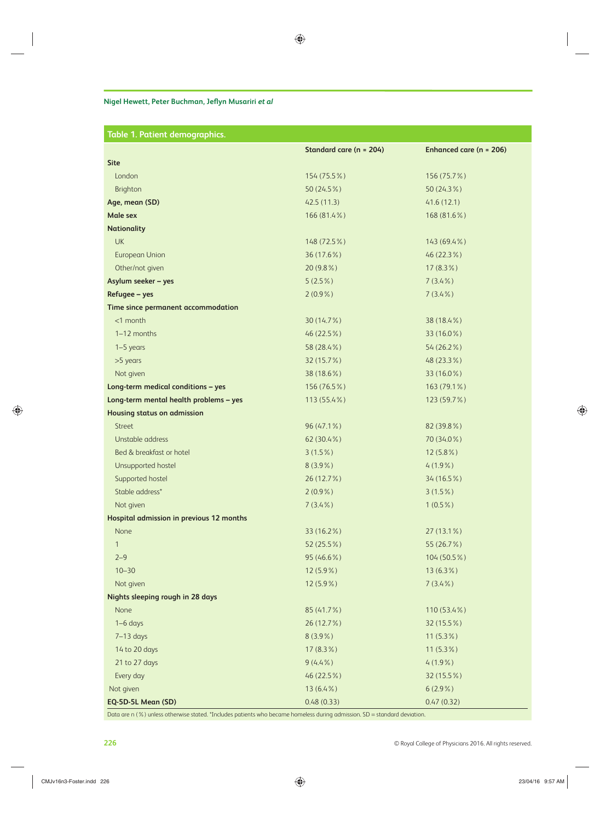# **Nigel Hewett, Peter Buchman, Jeflyn Musariri** *et al*

| Table 1. Patient demographics.           |                         |                         |
|------------------------------------------|-------------------------|-------------------------|
|                                          | Standard care (n = 204) | Enhanced care (n = 206) |
| <b>Site</b>                              |                         |                         |
| London                                   | 154 (75.5%)             | 156 (75.7%)             |
| Brighton                                 | 50 (24.5%)              | 50 (24.3%)              |
| Age, mean (SD)                           | 42.5(11.3)              | 41.6(12.1)              |
| <b>Male sex</b>                          | 166 (81.4%)             | 168 (81.6%)             |
| <b>Nationality</b>                       |                         |                         |
| <b>UK</b>                                | 148 (72.5%)             | 143 (69.4%)             |
| <b>European Union</b>                    | 36 (17.6%)              | 46 (22.3%)              |
| Other/not given                          | 20 (9.8%)               | $17(8.3\%)$             |
| Asylum seeker - yes                      | $5(2.5\%)$              | $7(3.4\%)$              |
| Refugee - yes                            | $2(0.9\%)$              | $7(3.4\%)$              |
| Time since permanent accommodation       |                         |                         |
| $<$ 1 month                              | 30 (14.7%)              | 38 (18.4%)              |
| 1-12 months                              | 46 (22.5%)              | 33 (16.0%)              |
| $1-5$ years                              | 58 (28.4%)              | 54 (26.2%)              |
| >5 years                                 | 32 (15.7%)              | 48 (23.3%)              |
| Not given                                | 38 (18.6%)              | 33 (16.0%)              |
| Long-term medical conditions - yes       | 156 (76.5%)             | 163 (79.1%)             |
| Long-term mental health problems - yes   | 113 (55.4%)             | 123 (59.7%)             |
| <b>Housing status on admission</b>       |                         |                         |
| <b>Street</b>                            | 96 (47.1%)              | 82 (39.8%)              |
| Unstable address                         | 62 (30.4%)              | 70 (34.0%)              |
| Bed & breakfast or hotel                 | $3(1.5\%)$              | $12(5.8\%)$             |
| Unsupported hostel                       | $8(3.9\%)$              | $4(1.9\%)$              |
| Supported hostel                         | 26 (12.7%)              | 34 (16.5%)              |
| Stable address*                          | $2(0.9\%)$              | $3(1.5\%)$              |
| Not given                                | $7(3.4\%)$              | $1(0.5\%)$              |
| Hospital admission in previous 12 months |                         |                         |
| None                                     | 33 (16.2%)              | 27 (13.1%)              |
| $\mathbf{1}$                             | 52 (25.5%)              | 55 (26.7%)              |
| $2 - 9$                                  | 95 (46.6%)              | 104 (50.5%)             |
| $10 - 30$                                | 12 (5.9%)               | $13(6.3\%)$             |
| Not given                                | $12(5.9\%)$             | $7(3.4\%)$              |
| Nights sleeping rough in 28 days         |                         |                         |
| None                                     | 85 (41.7%)              | 110 (53.4%)             |
| $1-6$ days                               | 26 (12.7%)              | 32 (15.5%)              |
| $7-13$ days                              | $8(3.9\%)$              | $11(5.3\%)$             |
| 14 to 20 days                            | $17(8.3\%)$             | $11(5.3\%)$             |
| 21 to 27 days                            | $9(4.4\%)$              | $4(1.9\%)$              |
| Every day                                | 46 (22.5%)              | 32 (15.5%)              |
| Not given                                | $13(6.4\%)$             | $6(2.9\%)$              |
| EQ-5D-5L Mean (SD)                       | 0.48(0.33)              | 0.47(0.32)              |

Data are n (%) unless otherwise stated. \*Includes patients who became homeless during admission. SD = standard deviation.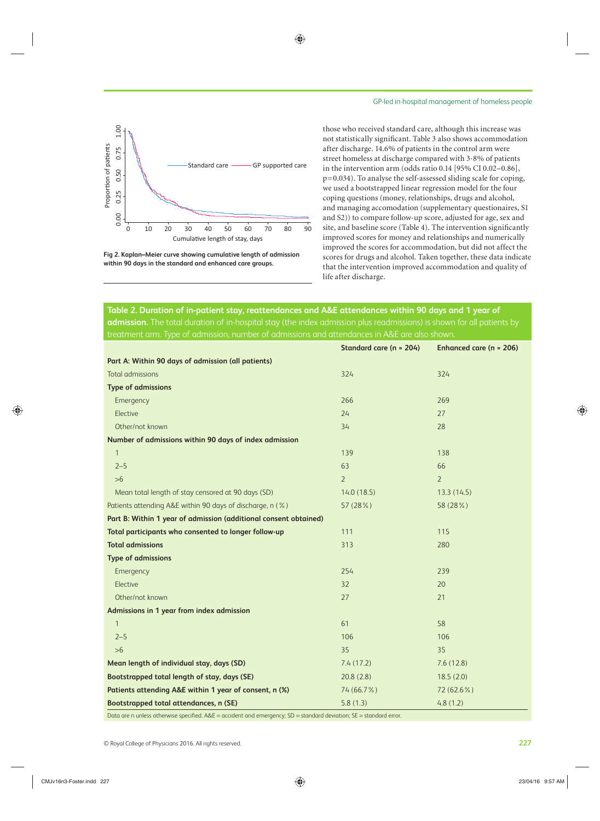

**Fig 2. Kaplan–Meier curve showing cumulative length of admission within 90 days in the standard and enhanced care groups.** 

those who received standard care, although this increase was not statistically significant. Table 3 also shows accommodation after discharge. 14.6% of patients in the control arm were street homeless at discharge compared with 3·8% of patients in the intervention arm (odds ratio 0.14 [95% CI 0.02–0.86], p=0.034). To analyse the self-assessed sliding scale for coping, we used a bootstrapped linear regression model for the four coping questions (money, relationships, drugs and alcohol, and managing accomodation (supplementary questionaires, S1 and S2)) to compare follow-up score, adjusted for age, sex and site, and baseline score (Table 4). The intervention significantly improved scores for money and relationships and numerically improved the scores for accommodation, but did not affect the scores for drugs and alcohol. Taken together, these data indicate that the intervention improved accommodation and quality of life after discharge.

 **Table 2. Duration of in-patient stay, reattendances and A&E attendances within 90 days and 1 year of admission.** The total duration of in-hospital stay (the index admission plus readmissions) is shown for all patients by treatment arm. Type of admission, number of admissions and attendances in A&E are also shown.

|                                                                  | Standard care (n = 204) | Enhanced care (n = 206) |
|------------------------------------------------------------------|-------------------------|-------------------------|
| Part A: Within 90 days of admission (all patients)               |                         |                         |
| <b>Total admissions</b>                                          | 324                     | 324                     |
| <b>Type of admissions</b>                                        |                         |                         |
| Emergency                                                        | 266                     | 269                     |
| Elective                                                         | 24                      | 27                      |
| Other/not known                                                  | 34                      | 28                      |
| Number of admissions within 90 days of index admission           |                         |                         |
| $\mathbf{1}$                                                     | 139                     | 138                     |
| $2 - 5$                                                          | 63                      | 66                      |
| $>6$                                                             | $\overline{2}$          | $\overline{2}$          |
| Mean total length of stay censored at 90 days (SD)               | 14.0(18.5)              | 13.3(14.5)              |
| Patients attending A&E within 90 days of discharge, n (%)        | 57 (28%)                | 58 (28%)                |
| Part B: Within 1 year of admission (additional consent obtained) |                         |                         |
| Total participants who consented to longer follow-up             | 111                     | 115                     |
| <b>Total admissions</b>                                          | 313                     | 280                     |
| <b>Type of admissions</b>                                        |                         |                         |
| Emergency                                                        | 254                     | 239                     |
| Elective                                                         | 32                      | 20                      |
| Other/not known                                                  | 27                      | 21                      |
| Admissions in 1 year from index admission                        |                         |                         |
| $\mathbf{1}$                                                     | 61                      | 58                      |
| $2 - 5$                                                          | 106                     | 106                     |
| $>6$                                                             | 35                      | 35                      |
| Mean length of individual stay, days (SD)                        | 7.4(17.2)               | 7.6(12.8)               |
| Bootstrapped total length of stay, days (SE)                     | 20.8(2.8)               | 18.5(2.0)               |
| Patients attending A&E within 1 year of consent, n (%)           | 74 (66.7%)              | 72 (62.6%)              |
| Bootstrapped total attendances, n (SE)                           | 5.8(1.3)                | 4.8(1.2)                |

Data are n unless otherwise specified. A&E = accident and emergency; SD = standard deviation; SE = standard error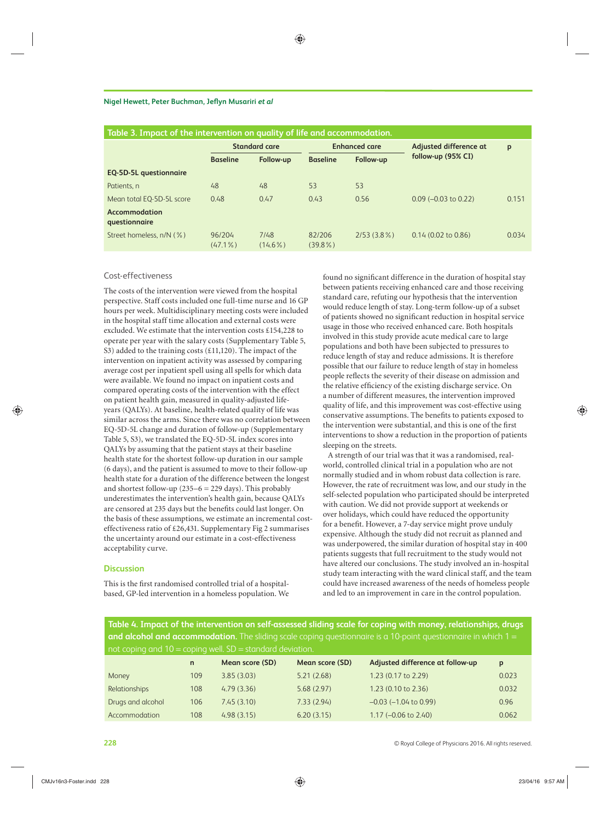#### **Nigel Hewett, Peter Buchman, Jeflyn Musariri** *et al*

| Table 3. Impact of the intervention on quality of life and accommodation. |                      |                    |                      |               |                        |       |
|---------------------------------------------------------------------------|----------------------|--------------------|----------------------|---------------|------------------------|-------|
|                                                                           | <b>Standard care</b> |                    | <b>Enhanced care</b> |               | Adjusted difference at | p     |
|                                                                           | <b>Baseline</b>      | Follow-up          | <b>Baseline</b>      | Follow-up     | follow-up (95% CI)     |       |
| <b>EQ-5D-5L questionnaire</b>                                             |                      |                    |                      |               |                        |       |
| Patients, n                                                               | 48                   | 48                 | 53                   | 53            |                        |       |
| Mean total EQ-5D-5L score                                                 | 0.48                 | 0.47               | 0.43                 | 0.56          | $0.09$ (-0.03 to 0.22) | 0.151 |
| Accommodation<br>questionnaire                                            |                      |                    |                      |               |                        |       |
| Street homeless, n/N (%)                                                  | 96/204<br>$(47.1\%)$ | 7/48<br>$(14.6\%)$ | 82/206<br>$(39.8\%)$ | $2/53(3.8\%)$ | $0.14$ (0.02 to 0.86)  | 0.034 |
|                                                                           |                      |                    |                      |               |                        |       |

# Cost-effectiveness

 The costs of the intervention were viewed from the hospital perspective. Staff costs included one full-time nurse and 16 GP hours per week. Multidisciplinary meeting costs were included in the hospital staff time allocation and external costs were excluded. We estimate that the intervention costs £154,228 to operate per year with the salary costs (Supplementary Table 5, S3) added to the training costs  $(\text{\textsterling}11,120)$ . The impact of the intervention on inpatient activity was assessed by comparing average cost per inpatient spell using all spells for which data were available. We found no impact on inpatient costs and compared operating costs of the intervention with the effect on patient health gain, measured in quality-adjusted lifeyears (QALYs). At baseline, health-related quality of life was similar across the arms. Since there was no correlation between EQ-5D-5L change and duration of follow-up (Supplementary Table 5, S3), we translated the EQ-5D-5L index scores into QALYs by assuming that the patient stays at their baseline health state for the shortest follow-up duration in our sample (6 days), and the patient is assumed to move to their follow-up health state for a duration of the difference between the longest and shortest follow-up  $(235-6 = 229 \text{ days})$ . This probably underestimates the intervention's health gain, because QALYs are censored at 235 days but the benefits could last longer. On the basis of these assumptions, we estimate an incremental costeffectiveness ratio of £26,431. Supplementary Fig 2 summarises the uncertainty around our estimate in a cost-effectiveness acceptability curve.

#### **Discussion**

 This is the first randomised controlled trial of a hospitalbased, GP-led intervention in a homeless population. We found no significant difference in the duration of hospital stay between patients receiving enhanced care and those receiving standard care, refuting our hypothesis that the intervention would reduce length of stay. Long-term follow-up of a subset of patients showed no significant reduction in hospital service usage in those who received enhanced care. Both hospitals involved in this study provide acute medical care to large populations and both have been subjected to pressures to reduce length of stay and reduce admissions. It is therefore possible that our failure to reduce length of stay in homeless people reflects the severity of their disease on admission and the relative efficiency of the existing discharge service. On a number of different measures, the intervention improved quality of life, and this improvement was cost-effective using conservative assumptions. The benefits to patients exposed to the intervention were substantial, and this is one of the first interventions to show a reduction in the proportion of patients sleeping on the streets.

 A strength of our trial was that it was a randomised, realworld, controlled clinical trial in a population who are not normally studied and in whom robust data collection is rare. However, the rate of recruitment was low, and our study in the self-selected population who participated should be interpreted with caution. We did not provide support at weekends or over holidays, which could have reduced the opportunity for a benefit. However, a 7-day service might prove unduly expensive. Although the study did not recruit as planned and was underpowered, the similar duration of hospital stay in 400 patients suggests that full recruitment to the study would not have altered our conclusions. The study involved an in-hospital study team interacting with the ward clinical staff, and the team could have increased awareness of the needs of homeless people and led to an improvement in care in the control population.

 **Table 4. Impact of the intervention on self-assessed sliding scale for coping with money, relationships, drugs and alcohol and accommodation.** The sliding scale coping questionnaire is a 10-point questionnaire in which 1 = not coping and  $10 -$ coping well.  $SD =$ ctandard deviation.

| $\sim$ . The coping and to $\sim$ coping well. So $\sim$ standard deviation. |     |                 |                 |                                  |       |  |  |
|------------------------------------------------------------------------------|-----|-----------------|-----------------|----------------------------------|-------|--|--|
|                                                                              | n   | Mean score (SD) | Mean score (SD) | Adjusted difference at follow-up | p     |  |  |
| Money                                                                        | 109 | 3.85(3.03)      | 5.21(2.68)      | 1.23 (0.17 to 2.29)              | 0.023 |  |  |
| Relationships                                                                | 108 | 4.79(3.36)      | 5.68(2.97)      | $1.23$ (0.10 to 2.36)            | 0.032 |  |  |
| Drugs and alcohol                                                            | 106 | 7.45(3.10)      | 7.33(2.94)      | $-0.03$ ( $-1.04$ to 0.99)       | 0.96  |  |  |
| Accommodation                                                                | 108 | 4.98(3.15)      | 6.20(3.15)      | $1.17 (-0.06 \text{ to } 2.40)$  | 0.062 |  |  |